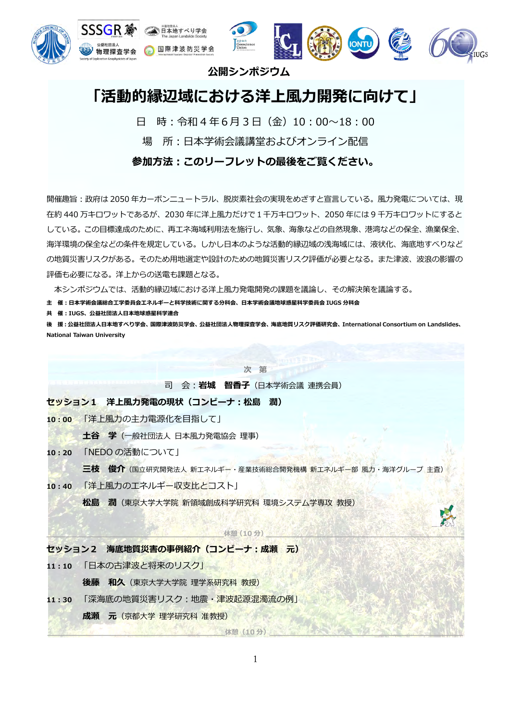

## **公開シンポジウム**

# **「活動的縁辺域における洋上⾵⼒開発に向けて」**

日 時:令和4年6月3日 (金) 10:00∼18:00

場 所:日本学術会議講堂およびオンライン配信

**参加⽅法︓このリーフレットの最後をご覧ください。**

開催趣旨:政府は 2050 年カーボンニュートラル、脱炭素社会の実現をめざすと宣言している。風力発電については、現 在約 440 万キロワットであるが、2030 年に洋上風力だけで 1 千万キロワット、2050 年には 9 千万キロワットにすると している。この⽬標達成のために、再エネ海域利⽤法を施⾏し、気象、海象などの⾃然現象、港湾などの保全、漁業保全、 海洋環境の保全などの条件を規定している。しかし日本のような活動的縁辺域の浅海域には、液状化、海底地すべりなど の地質災害リスクがある。そのため用地選定や設計のための地質災害リスク評価が必要となる。また津波、波浪の影響の 評価も必要になる。洋上からの送電も課題となる。

本シンポジウムでは、活動的縁辺域における洋上⾵⼒発電開発の課題を議論し、その解決策を議論する。

**主 催︓⽇本学術会議総合⼯学委員会エネルギーと科学技術に関する分科会、⽇本学術会議地球惑星科学委員会 IUGS 分科会**

**共 催︓IUGS、公益社団法⼈⽇本地球惑星科学連合**

**後 援︓公益社団法⼈⽇本地すべり学会、国際津波防災学会、公益社団法⼈物理探査学会、海底地質リスク評価研究会、International Consortium on Landslides、 National Taiwan University**

**次 第**

司 会︓**岩城 智⾹⼦**(⽇本学術会議 連携会員)

**セッション1 洋上⾵⼒発電の現状(コンビーナ︓松島 潤)**

10:00 「洋上風力の主力雷源化を目指して!

土谷 学 (一般社団法人 日本風力発電協会 理事)

**10︓20** 「NEDO の活動について」

**三枝 俊介**(国⽴研究開発法⼈ 新エネルギー・産業技術総合開発機構 新エネルギー部 ⾵⼒・海洋グループ 主査)

10:40 「洋上風力のエネルギー収支比とコスト」

**松島 潤**(東京⼤学⼤学院 新領域創成科学研究科 環境システム学専攻 教授)

#### **\_\_\_\_\_\_\_\_\_\_\_\_\_\_\_\_\_\_\_\_\_\_\_\_\_\_\_\_\_\_\_\_\_\_休憩(10 分)\_\_\_\_\_\_\_\_\_\_\_\_\_\_\_\_\_\_\_\_\_\_\_\_\_\_\_\_\_\_\_\_\_\_\_\_\_\_**

### **セッション2 海底地質災害の事例紹介(コンビーナ︓成瀬 元)**

11:10 「日本の古津波と将来のリスク」

**後藤 和久**(東京⼤学⼤学院 理学系研究科 教授)

11:30 「深海底の地質災害リスク:地震·津波起源混濁流の例」

**成瀬 元**(京都⼤学 理学研究科 准教授)

休憩(10分)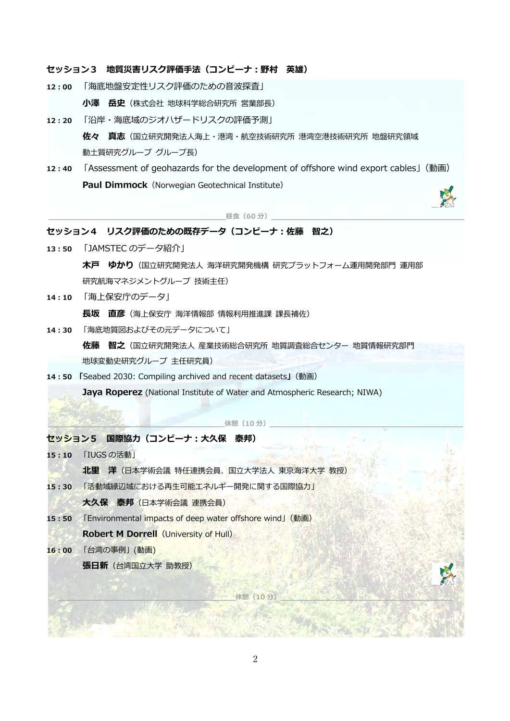### **セッション3 地質災害リスク評価⼿法(コンビーナ︓野村 英雄)**

12:00 「海底地盤安定性リスク評価のための音波探査」

**⼩澤 岳史**(株式会社 地球科学総合研究所 営業部⻑)

**12︓20** 「沿岸・海底域のジオハザードリスクの評価予測」

**佐々 真志**(国⽴研究開発法⼈海上・港湾・航空技術研究所 港湾空港技術研究所 地盤研究領域 動土質研究グループ グループ長)

**12:40** 「Assessment of geohazards for the development of offshore wind export cables」(動画) **Paul Dimmock** (Norwegian Geotechnical Institute)

昼食 (60分)

## **セッション4 リスク評価のための既存データ(コンビーナ︓佐藤 智之)**

- **13:50 「JAMSTEC のデータ紹介」 木戸 ゆかり**(国立研究開発法人 海洋研究開発機構 研究プラットフォーム運用開発部門 運用部 研究航海マネジメントグループ 技術主任)
- **14︓10** 「海上保安庁のデータ」

**⻑坂 直彦**(海上保安庁 海洋情報部 情報利⽤推進課 課⻑補佐)

**14︓30** 「海底地質図およびその元データについて」

**佐藤 智之**(国⽴研究開発法⼈ 産業技術総合研究所 地質調査総合センター 地質情報研究部⾨ 地球変動史研究グループ 主任研究員)

**14︓50 「**Seabed 2030: Compiling archived and recent datasets**」**(動画)

Jaya Roperez (National Institute of Water and Atmospheric Research; NIWA)

休憩(10分)

#### **セッション5 国際協⼒(コンビーナ︓⼤久保 泰邦)**

- **15:10 「IUGS の活動」** 
	- **北里 洋**(日本学術会議 特任連携会員、国立大学法人 東京海洋大学 教授)
- 15:30 「活動域縁辺域における再生可能エネルギー開発に関する国際協力」

大久保 泰邦 (日本学術会議 連携会員)

- **15:50** 「Environmental impacts of deep water offshore wind」(動画)
	- **Robert M Dorrell** (University of Hull)
- 16:00 「台湾の事例」(動画)

張日新 (台湾国立大学 助教授)

**\_\_\_\_\_\_\_\_\_\_\_\_\_\_\_\_\_\_\_\_\_\_\_\_\_\_\_\_\_\_\_\_\_\_休憩(10 分)\_\_\_\_\_\_\_\_\_\_\_\_\_\_\_\_\_\_\_\_\_\_\_\_\_\_\_\_\_\_\_\_\_**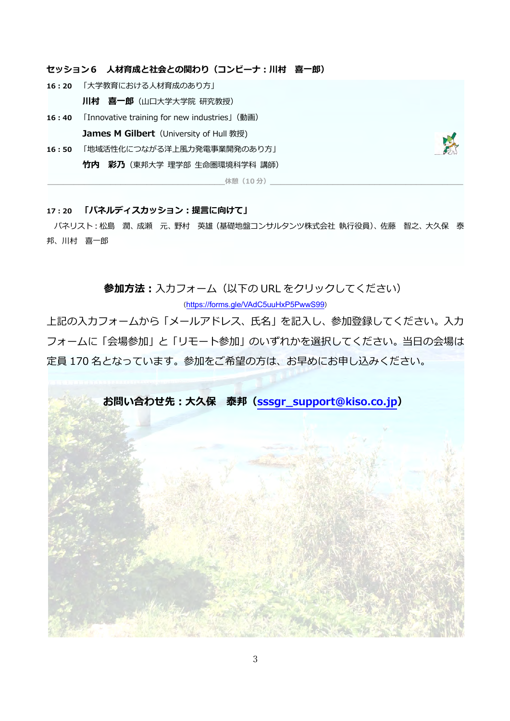### **セッション6 ⼈材育成と社会との関わり(コンビーナ︓川村 喜⼀郎)**

- 16:20 「大学教育における人材育成のあり方」
	- **川村 喜一郎**(山□大学大学院 研究教授)
- **16:40** 「Innovative training for new industries」(動画) **James M Gilbert** (University of Hull 教授)
- 16:50 「地域活性化につながる洋上風力発電事業開発のあり方」 **⽵内 彩乃**(東邦⼤学 理学部 ⽣命圏環境科学科 講師)



#### 17:20 「パネルディスカッション:提言に向けて」

パネリスト:松島 潤、成瀬 元、野村 英雄 (基礎地盤コンサルタンツ株式会社 執行役員)、佐藤 智之、大久保 泰 邦、川村 喜一郎

休憩(10分)

**参加方法:** 入力フォーム (以下の URL をクリックしてください) (https://forms.gle/VAdC5uuHxP5PwwS99)

上記の入力フォームから「メールアドレス、氏名」を記入し、参加登録してください。入力 フォームに「会場参加」と「リモート参加」のいずれかを選択してください。当日の会場は 定員 170 名となっています。参加をご希望の⽅は、お早めにお申し込みください。

**お問い合わせ先︓⼤久保 泰邦(sssgr\_support@kiso.co.jp)**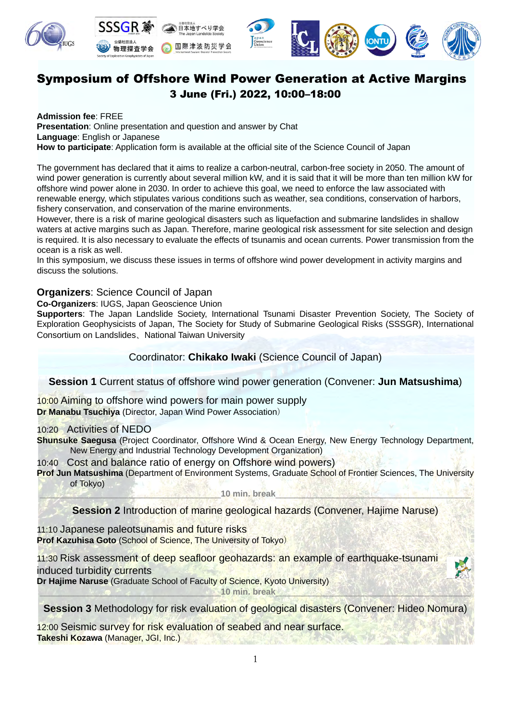

## Symposium of Offshore Wind Power Generation at Active Margins 3 June (Fri.) 2022, 10:00–18:00

**Admission fee**: FREE **Presentation**: Online presentation and question and answer by Chat **Language**: English or Japanese **How to participate**: Application form is available at the official site of the Science Council of Japan

The government has declared that it aims to realize a carbon-neutral, carbon-free society in 2050. The amount of wind power generation is currently about several million kW, and it is said that it will be more than ten million kW for offshore wind power alone in 2030. In order to achieve this goal, we need to enforce the law associated with renewable energy, which stipulates various conditions such as weather, sea conditions, conservation of harbors, fishery conservation, and conservation of the marine environments.

However, there is a risk of marine geological disasters such as liquefaction and submarine landslides in shallow waters at active margins such as Japan. Therefore, marine geological risk assessment for site selection and design is required. It is also necessary to evaluate the effects of tsunamis and ocean currents. Power transmission from the ocean is a risk as well.

In this symposium, we discuss these issues in terms of offshore wind power development in activity margins and discuss the solutions.

## **Organizers**: Science Council of Japan

**Co-Organizers**: IUGS, Japan Geoscience Union

**Supporters**: The Japan Landslide Society, International Tsunami Disaster Prevention Society, The Society of Exploration Geophysicists of Japan, The Society for Study of Submarine Geological Risks (SSSGR), International Consortium on Landslides、National Taiwan University

Coordinator: **Chikako Iwaki** (Science Council of Japan)

**Session 1** Current status of offshore wind power generation (Convener: **Jun Matsushima**)

10:00 Aiming to offshore wind powers for main power supply **Dr Manabu Tsuchiya** (Director, Japan Wind Power Association)

## 10:20 Activities of NEDO

**Shunsuke Saegusa** (Project Coordinator, Offshore Wind & Ocean Energy, New Energy Technology Department, New Energy and Industrial Technology Development Organization)

10:40 Cost and balance ratio of energy on Offshore wind powers)

**Prof Jun Matsushima** (Department of Environment Systems, Graduate School of Frontier Sciences, The University of Tokyo)

\_\_\_\_\_\_\_\_\_\_\_\_\_\_\_\_\_\_\_\_\_\_\_\_\_\_\_\_\_\_\_\_\_\_\_\_\_\_**10 min. break**\_\_\_\_\_\_\_\_\_\_\_\_\_\_\_\_\_\_\_\_\_\_\_\_\_\_\_\_\_\_\_\_\_\_\_\_\_\_\_\_\_

**Session 2** Introduction of marine geological hazards (Convener, Hajime Naruse)

11:10 Japanese paleotsunamis and future risks **Prof Kazuhisa Goto** (School of Science, The University of Tokyo)

11:30 Risk assessment of deep seafloor geohazards: an example of earthquake-tsunami induced turbidity currents

**Dr Hajime Naruse** (Graduate School of Faculty of Science, Kyoto University)

\_\_\_\_\_\_\_\_\_\_\_\_\_\_\_\_\_\_\_\_\_\_\_\_\_\_\_\_\_\_\_\_\_\_\_\_\_\_**10 min. break**\_\_\_\_\_\_\_\_\_\_\_\_\_\_\_\_\_\_\_\_\_\_\_\_\_\_\_\_\_\_\_\_\_\_\_\_\_\_\_\_\_

**Session 3** Methodology for risk evaluation of geological disasters (Convener: Hideo Nomura)

12:00 Seismic survey for risk evaluation of seabed and near surface. **Takeshi Kozawa** (Manager, JGI, Inc.)